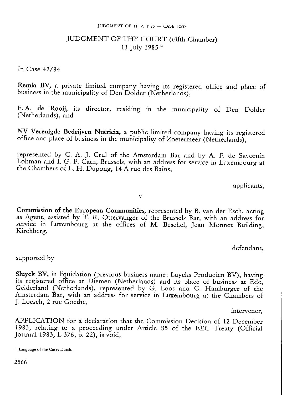#### JUDGMENT OF 11. 7. 1985 — CASE 42/84

# JUDGMENT OF THE COURT (Fifth Chamber) <sup>11</sup> July <sup>1985</sup> \*

In Case 42/84

Remia BV, a private limited company having its registered office and place of business in the municipality of Den Dolder (Netherlands),

F. A. **de Rooij,** its director, residing in the municipality of Den Dolder (Netherlands), and

**NV Verenigde Bedrijven Nutricia,** a public limited company having its registered office and place of business in the municipality of Zoetermeer (Netherlands),

represented by C. A. J. Crul of the Amsterdam Bar and by A. F. de Savornin Lohman and I. G. F. Cath, Brussels, with an address for service in Luxembourg at the Chambers of L. H. Dupong, 14 A rue des Bains,

applicants,

v

**Commission of the European Communities,** represented by B. van der Esch, acting as Agent, assisted by T. R. Ottervanger of the Brussels Bar, with an address for service in Luxembourg at the offices of M. Beschel, Jean Monnet Building, Kirchberg,

defendant,

supported by

Sluyck BV, in liquidation (previous business name: Luycks Producten BV), having its registered office at Diemen (Netherlands) and its place of business at Ede, Gelderland (Netherlands), represented by G. Loos and C. Hamburger of the Amsterdam Bar, with an address for service in Luxembourg at the Chambers of J. Loesch, 2 rue Goethe,

intervener,

APPLICATION for a declaration that the Commission Decision of 12 December 1983, relating to a proceeding under Article 85 of the EEC Treaty (Official Journal 1983, L 376, p. 22), is void,

2566

*<sup>\*</sup>* Language of the Case: Dutch.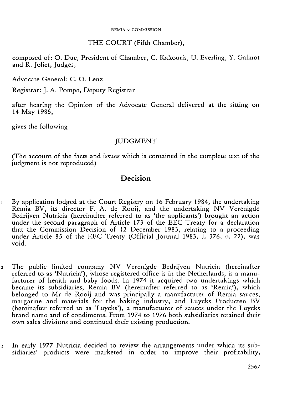### THE COURT (Fifth Chamber),

composed of: O. Due, President of Chamber, C. Kakouris, U. Everling, Y. Galmot and R. Joliet, Judges,

Advocate General: C. O. Lenz

Registrar: J. A. Pompe, Deputy Registrar

after hearing the Opinion of the Advocate General delivered at the sitting on 14 May 1985,

gives the following

### **JUDGMENT**

(The account of the facts and issues which is contained in the complete text of the judgment is not reproduced)

# Decision

- 1 By application lodged at the Court Registry on 16 February 1984, the undertaking Remia BV, its director F. A. de Rooij, and the undertaking NV Verenigde Bedrijven Nutricia (hereinafter referred to as 'the applicants') brought an action under the second paragraph of Article 173 of the EEC Treaty for a declaration that the Commission Decision of 12 December 1983, relating to a proceeding under Article 85 of the EEC Treaty (Official Journal 1983, L 376, p. 22), was void.
- 2 The public limited company NV Verenigde Bedrijven Nutricia (hereinafter referred to as 'Nutricia'), whose registered office is in the Netherlands, is a manufacturer of health and baby foods. In 1974 it acquired two undertakings which became its subsidiaries, Remia BV (hereinafter referred to as 'Remia'), which belonged to Mr de Rooij and was principally a manufacturer of Remia sauces, margarine and materials for the baking industry, and Luycks Producten BV (hereinafter referred to as 'Luycks'), a manufacturer of sauces under the Luycks brand name and of condiments. From 1974 to 1976 both subsidiaries retained their own sales divisions and continued their existing production.
- 3 In early 1977 Nutricia decided to review the arrangements under which its subsidiaries' products were marketed in order to improve their profitability,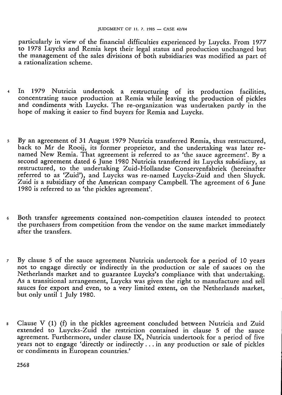particularly in view of the financial difficulties experienced by Luycks. From 1977 to 1978 Luycks and Remia kept their legal status and production unchanged but the management of the sales divisions of both subsidiaries was modified as part of a rationalization scheme.

- 4 In 1979 Nutricia undertook a restructuring of its production facilities, concentrating sauce production at Remia while leaving the production of pickles and condiments with Luycks. The re-organization was undertaken partly in the hope of making it easier to find buyers for Remia and Luycks.
- 5 By an agreement of 31 August 1979 Nutricia transferred Remia, thus restructured, back to Mr de Rooij, its former proprietor, and the undertaking was later renamed New Remia. That agreement is referred to as 'the sauce agreement'. By a second agreement dated 6 June 1980 Nutricia transferred its Luycks subsidiary, as restructured, to the undertaking Zuid-Hollandse Conservenfabriek (hereinafter referred to as 'Zuid'), and Luycks was re-named Luycks-Zuid and then Sluyck. Zuid is a subsidiary of the American company Campbell. The agreement of 6 June 1980 is referred to as 'the pickles agreement'.
- 6 Both transfer agreements contained non-competition clauses intended to protect the purchasers from competition from the vendor on the same market immediately after the transfers.
- 7 By clause 5 of the sauce agreement Nutricia undertook for a period of 10 years not to engage directly or indirectly in the production or sale of sauces on the Netherlands market and to guarantee Luycks's compliance with that undertaking. As a transitional arrangement, Luycks was given the right to manufacture and sell sauces for export and even, to a very limited extent, on the Netherlands market, but only until 1 July 1980.
- 8 Clause V (1) (f) in the pickles agreement concluded between Nutricia and Zuid extended to Luycks-Zuid the restriction contained in clause 5 of the sauce agreement. Furthermore, under clause IX, Nutricia undertook for a period of five years not to engage 'directly or indirectly... in any production or sale of pickles or condiments in European countries.'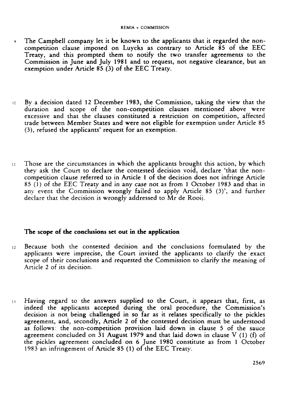- 9 The Campbell company let it be known to the applicants that it regarded the noncompetition clause imposed on Luycks as contrary to Article 85 of the EEC Treaty, and this prompted them to notify the two transfer agreements to the Commission in June and July 1981 and to request, not negative clearance, but an exemption under Article 85 (3) of the EEC Treaty.
- 10 By a decision dated 12 December 1983, the Commission, taking the view that the duration and scope of the non-competition clauses mentioned above were excessive and that the clauses constituted a restriction on competition, affected trade between Member States and were not eligible for exemption under Article 85 (3), refused the applicants' request for an exemption.
- 11 Those are the circumstances in which the applicants brought this action, by which they ask the Court to declare the contested decision void, declare 'that the noncompetition clause referred to in Article 1 of the decision does not infringe Article 85 (1) of the EEC Treaty and in any case not as from 1 October 1983 and that in any event the Commission wrongly failed to apply Article 85 (3)', and further declare that the decision is wrongly addressed to Mr de Rooij.

## **The scope of the conclusions set out in the application**

- 12 Because both the contested decision and the conclusions formulated by the applicants were imprecise, the Court invited the applicants to clarify the exact scope of their conclusions and requested the Commission to clarify the meaning of Article 2 of its decision.
- <sup>13</sup> Having regard to the answers supplied to the Court, it appears that, first, as indeed the applicants accepted during the oral procedure, the Commission's decision is not being challenged in so far as it relates specifically to the pickles agreement, and, secondly, Article 2 of the contested decision must be understood as follows: the non-competition provision laid down in clause 5 of the sauce agreement concluded on  $31$  August 1979 and that laid down in clause V (1) (f) of the pickles agreement concluded on 6 June 1980 constitute as from 1 October 1983 an infringement of Article 85 (1) of the EEC Treaty.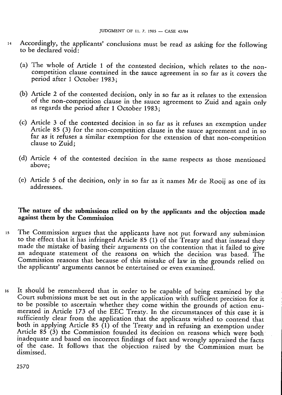- 14 Accordingly, the applicants' conclusions must be read as asking for the following to be declared void:
	- (a) The whole of Article 1 of the contested decision, which relates to the noncompetition clause contained in the sauce agreement in so far as it covers the period after 1 October 1983;
	- (b) Article 2 of the contested decision, only in so far as it relates to the extension of the non-competition clause in the sauce agreement to Zuid and again only as regards the period after 1 October 1983;
	- (c) Article 3 of the contested decision in so far as it refuses an exemption under Article 85 (3) for the non-competition clause in the sauce agreement and in so far as it refuses a similar exemption for the extension of that non-competition clause to Zuid;
	- (d) Article 4 of the contested decision in the same respects as those mentioned above;
	- (e) Article 5 of the decision, only in so far as it names Mr de Rooij as one of its addressees.

## **The nature of the submissions relied on by the applicants and the objection made against them by the Commission**

- 15 The Commission argues that the applicants have not put forward any submission to the effect that it has infringed Article 85 (1) of the Treaty and that instead they made the mistake of basing their arguments on the contention that it failed to give an adequate statement of the reasons on which the decision was based. The Commission reasons that because of this mistake of law in the grounds relied on the applicants' arguments cannot be entertained or even examined.
- <sup>16</sup> It should be remembered that in order to be capable of being examined by the Court submissions must be set out in the application with sufficient precision for it to be possible to ascertain whether they come within the grounds of action enumerated in Article 173 of the EEC Treaty. In the circumstances of this case it is sufficiently clear from the application that the applicants wished to contend that both in applying Article 85 (1) of the Treaty and in refusing an exemption under Article 85 (3) the Commission founded its decision on reasons which were both inadequate and based on incorrect findings of fact and wrongly appraised the facts of the case. It follows that the objection raised by the Commission must be dismissed.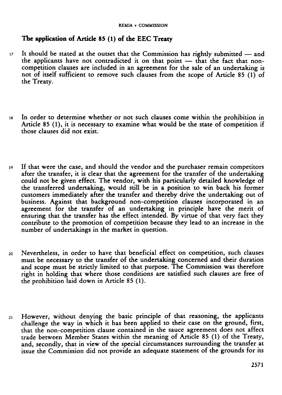# **The application of Article 85 (1) of the** EEC **Treaty**

- <sup>17</sup> It should be stated at the outset that the Commission has rightly submitted and the applicants have not contradicted it on that point  $-$  that the fact that noncompetition clauses are included in an agreement for the sale of an undertaking is not of itself sufficient to remove such clauses from the scope of Article 85 (1) of the Treaty.
- <sup>18</sup> In order to determine whether or not such clauses come within the prohibition in Article 85 (1), it is necessary to examine what would be the state of competition if those clauses did not exist.
- <sup>19</sup> If that were the case, and should the vendor and the purchaser remain competitors after the transfer, it is clear that the agreement for the transfer of the undertaking could not be given effect. The vendor, with his particularly detailed knowledge of the transferred undertaking, would still be in a position to win back his former customers immediately after the transfer and thereby drive the undertaking out of business. Against that background non-competition clauses incorporated in an agreement for the transfer of an undertaking in principle have the merit of ensuring that the transfer has the effect intended. By virtue of that very fact they contribute to the promotion of competition because they lead to an increase in the number of undertakings in the market in question.
- 20 Nevertheless, in order to have that beneficial effect on competition, such clauses must be necessary to the transfer of the undertaking concerned and their duration and scope must be strictly limited to that purpose. The Commission was therefore right in holding that where those conditions are satisfied such clauses are free of the prohibition laid down in Article 85 (1).
- 21 However, without denying the basic principle of that reasoning, the applicants challenge the way in which it has been applied to their case on the ground, first, that the non-competition clause contained in the sauce agreement does not affect trade between Member States within the meaning of Article 85 (1) of the Treaty, and, secondly, that in view of the special circumstances surrounding the transfer at issue the Commission did not provide an adequate statement of the grounds for its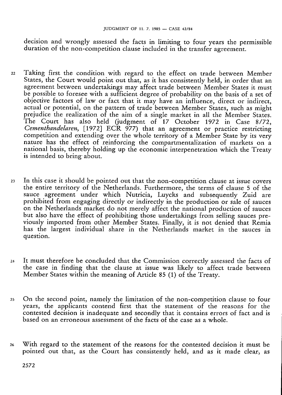decision and wrongly assessed the facts in limiting to four years the permissible duration of the non-competition clause included in the transfer agreement.

- <sup>22</sup> Taking first the condition with regard to the effect on trade between Member States, the Court would point out that, as it has consistently held, in order that an agreement between undertakings may affect trade between Member States it must be possible to foresee with a sufficient degree of probability on the basis of a set of objective factors of law or fact that it may have an influence, direct or indirect, actual or potential, on the pattern of trade between Member States, such as might prejudice the realization of the aim of a single market in all the Member States. The Court has also held (judgment of 17 October 1972 in Case 8/72, *Cementhandelaren,* [1972] ECR 977) that an agreement or practice restricting competition and extending over the whole territory of <sup>a</sup> Member State by its very nature has the effect of reinforcing the compartmentalization of markets on a national basis, thereby holding up the economic interpenetration which the Treaty is intended to bring about.
- <sup>23</sup> In this case it should be pointed out that the non-competition clause at issue covers the entire territory of the Netherlands. Furthermore, the terms of clause 5 of the sauce agreement under which Nutricia, Luycks and subsequently Zuid are prohibited from engaging directly or indirectly in the production or sale of sauces on the Netherlands market do not merely affect the national production of sauces but also have the effect of prohibiting those undertakings from selling sauces previously imported from other Member States. Finally, it is not denied that Remia has the largest individual share in the Netherlands market in the sauces in question.
- <sup>24</sup> It must therefore be concluded that the Commission correctly assessed the facts of the case in finding that the clause at issue was likely to affect trade between Member States within the meaning of Article 85 (1) of the Treaty.
- <sup>25</sup> On the second point, namely the limitation of the non-competition clause to four years, the applicants contend first that the statement of the reasons for the contested decision is inadequate and secondly that it contains errors of fact and is based on an erroneous assessment of the facts of the case as a whole.
- <sup>26</sup> With regard to the statement of the reasons for the contested decision it must be pointed out that, as the Court has consistently held, and as it made clear, as

2572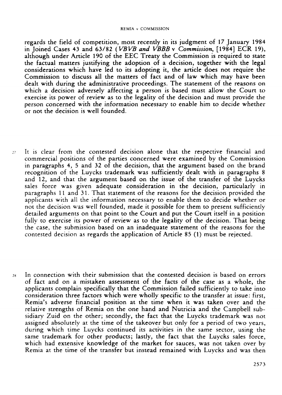regards the field of competition, most recently in its judgment of 17 January 1984 in Joined Cases 43 and 63/82 *(VBVB and VBBB* v *Commission,* [1984] ECR 19), although under Article 190 of the EEC Treaty the Commission is required to state the factual matters justifying the adoption of a decision, together with the legal considerations which have led to its adopting it, the article does not require the Commission to discuss all the matters of fact and of law which may have been dealt with during the administrative proceedings. The statement of the reasons on which a decision adversely affecting a person is based must allow the Court to exercise its power of review as to the legality of the decision and must provide the person concerned with the information necessary to enable him to decide whether or not the decision is well founded.

- <sup>27</sup> It is clear from the contested decision alone that the respective financial and commercial positions of the parties concerned were examined by the Commission in paragraphs 4, 5 and 32 of the decision, that the argument based on the brand recognition of the Luycks trademark was sufficiently dealt with in paragraphs 8 and 12, and that the argument based on the issue of the transfer of the Luycks sales force was given adequate consideration in the decision, particularly in paragraphs 11 and 31. That statement of the reasons for the decision provided the applicants with all the information necessary to enable them to decide whether or not the decision was well founded, made it possible for them to present sufficiently detailed arguments on that point to the Court and put the Court itself in a position fully to exercise its power of review as to the legality of the decision. That being the case, the submission based on an inadequate statement of the reasons for the contested decision as regards the application of Article 85 (1) must be rejected.
- <sup>28</sup> In connection with their submission that the contested decision is based on errors of fact and on a mistaken assessment of the facts of the case as a whole, the applicants complain specifically that the Commission failed sufficiently to take into consideration three factors which were wholly specific to the transfer at issue: first, Remia's adverse financial position at the time when it was taken over and the relative strengths of Remia on the one hand and Nutricia and the Campbell subsidiary Zuid on the other; secondly, the fact that the Luycks trademark was not assigned absolutely at the time of the takeover but only for a period of two years, during which time Luycks continued its activities in the same sector, using the same trademark for other products; lastly, the fact that the Luycks sales force, which had extensive knowledge of the market for sauces, was not taken over by Remia at the time of the transfer but instead remained with Luycks and was then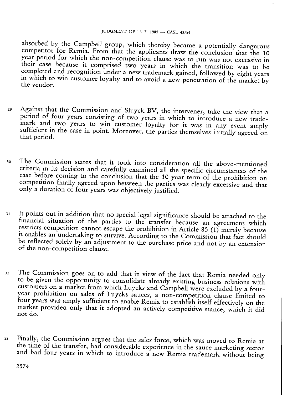absorbed by the Campbell group, which thereby became a potentially dangerous competitor for Remia. From that the applicants draw the conclusion that the 10 year period for which the non-competition clause was to run was not excessive in their case because it comprised two years in which the transition was to be completed and recognition under a new trademark gained, followed by eight years in which to win customer loyalty and to avoid a new penetration of the market by the vendor.

- 29 Against that the Commission and Sluyck BV, the intervener, take the view that a period of four years consisting of two years in which to introduce a new trademark and two years to win customer loyalty for it was in any event amplements. sufficient in the case in point. Moreover, the parties themselves initially agreed on that period.
- <sup>30</sup> The Commission states that it took into consideration all the above-mentioned criteria in its decision and carefully examined all the specific circumstances of the case before coming to the conclusion that the 10 year term of the prohibition on competition finally agreed upon between the parties was clearly excessive and that only a duration of four years was objectively justified.
- <sup>31</sup> It points out in addition that no special legal significance should be attached to the financial situation of the parties to the transfer because an agreement which restricts competition cannot escape the prohibition in Article 85(1) merely because it enables an undertaking to survive. According to the Commission that fact should be reflected solely by an adjustment to the purchase price and not by an extension of the non-competition clause.
- 32 The Commission goes on to add that in view of the fact that Remia needed only to be given the opportunity to consolidate already existing business relations with customers on a market from which Luycks and Campbell were excluded by a fouryear prohibition on sales of Luycks sauces, a non-competition clause limited to four years was amply sufficient to enable Remia to establish itself effectively on the market provided only that it adopted an actively competitive stance, which it did not do.
- 33 Finally, the Commission argues that the sales force, which was moved to Remia at the time of the transfer, had considerable experience in the sauce marketing sector and had four years in which to introduce a new Remia trademark without being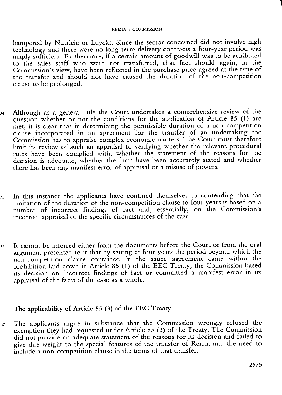hampered by Nutricia or Luycks. Since the sector concerned did not involve high technology and there were no long-term delivery contracts a four-year period was amply sufficient. Furthermore, if a certain amount of goodwill was to be attributed to the sales staff who were not transferred, that fact should again, in the Commission's view, have been reflected in the purchase price agreed at the time of the transfer and should not have caused the duration of the non-competition clause to be prolonged.

- 34 Although as a general rule the Court undertakes a comprehensive review of the question whether or not the conditions for the application of Article 85 (1) are met, it is clear that in determining the permissible duration of a non-competition clause incorporated in an agreement for the transfer of an undertaking the Commission has to appraise complex economic matters. The Court must therefore limit its review of such an appraisal to verifying whether the relevant procedural rules have been complied with, whether the statement of the reasons for the decision is adequate, whether the facts have been accurately stated and whether there has been any manifest error of appraisal or a misuse of powers.
- <sup>35</sup> In this instance the applicants have confined themselves to contending that the limitation of the duration of the non-competition clause to four years is based on a number of incorrect findings of fact and, essentially, on the Commission's incorrect appraisal of the specific circumstances of the case.
- <sup>36</sup> It cannot be inferred either from the documents before the Court or from the oral argument presented to it that by setting at four years the period beyond which the non-competition clause contained in the sauce agreement came within the prohibition laid down in Article 85 (1) of the EEC Treaty, the Commission based its decision on incorrect findings of fact or committed a manifest error in its appraisal of the facts of the case as a whole.

## The applicability of Article 85 (3) of the EEC Treaty

 $_3$  The applicants argue in substance that the Commission wrongly refused the exemption they had requested under Article 85 (3) of the Treaty. The Commission did not provide an adequate statement of the reasons for its decision and failed to give due weight to the special features of the transfer of Remia and the need to include a non-competition clause in the terms of that transfer.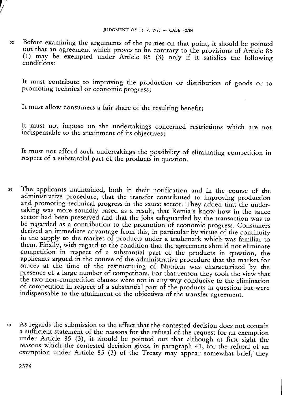<sup>38</sup> Before examining the arguments of the parties on that point, it should be pointed out that an agreement which proves to be contrary to the provisions of Article 85 (1) may be exempted under Article 85 (3) only if it satisfies the following conditions :

It must contribute to improving the production or distribution of goods or to promoting technical or economic progress;

It must allow consumers <sup>a</sup> fair share of the resulting benefit;

It must not impose on the undertakings concerned restrictions which are not indispensable to the attainment of its objectives;

It must not afford such undertakings the possibility of eliminating competition in respect of a substantial part of the products in question.

- 39 The applicants maintained, both in their notification and in the course of the administrative procedure, that the transfer contributed to improving production and promoting technical progress in the sauce sector. They added that the undertaking was more soundly based as a result, that Remia's know-how in the sauce sector had been preserved and that the jobs safeguarded by the transaction was to be regarded as a contribution to the promotion of economic progress. Consumers derived an immediate advantage from this, in particular by virtue of the continuity in the supply to the market of products under a trademark which was familiar to them. Finally, with regard to the condition that the agreement should not eliminate competition in respect of a substantial part of the products in question, the applicants argued in the course of the administrative procedure that the market for sauces at the time of the restructuring of Nutricia was characterized by the presence of a large number of competitors. For that reason they took the view that the two non-competition clauses were not in any way conducive to the elimination of competition in respect of a substantial part of the products in question but were indispensable to the attainment of the objectives of the transfer agreement.
- <sup>40</sup> As regards the submission to the effect that the contested decision does not contain a sufficient statement of the reasons for the refusal of the request for an exemption under Article 85 (3), it should be pointed out that although at first sight the reasons which the contested decision gives, in paragraph 41, for the refusal of an exemption under Article 85 (3) of the Treaty may appear somewhat brief, they

2576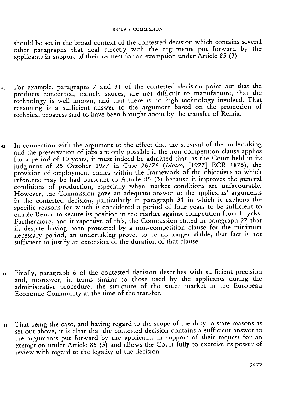should be set in the broad context of the contested decision which contains several other paragraphs that deal directly with the arguments put forward by the applicants in support of their request for an exemption under Article 85 (3).

- 41 For example, paragraphs 7 and 31 of the contested decision point out that the products concerned, namely sauces, are not difficult to manufacture, that the technology is well known, and that there is no high technology involved. That reasoning is a sufficient answer to the argument based on the promotion of technical progress said to have been brought about by the transfer of Remia.
- 42 In connection with the argument to the effect that the survival of the undertaking and the preservation of jobs are only possible if the non-competition clause applies for a period of 10 years, it must indeed be admitted that, as the Court held in its judgment of 25 October <sup>1977</sup> in Case 26/76 *(Metro,* [1977] ECR 1875), the provision of employment comes within the framework of the objectives to which reference may be had pursuant to Article 85 (3) because it improves the general conditions of production, especially when market conditions are unfavourable. However, the Commission gave an adequate answer to the applicants' arguments in the contested decision, particularly in paragraph 31 in which it explains the specific reasons for which it considered a period of four years to be sufficient to enable Remia to secure its position in the market against competition from Luycks. Furthermore, and irrespective of this, the Commission stated in paragraph 27 that if, despite having been protected by a non-competition clause for the minimum necessary period, an undertaking proves to be no longer viable, that fact is not sufficient to justify an extension of the duration of that clause.
- <sup>43</sup> Finally, paragraph 6 of the contested decision describes with sufficient precision and, moreover, in terms similar to those used by the applicants during the administrative procedure, the structure of the sauce market in the European Economic Community at the time of the transfer.
- <sup>44</sup> That being the case, and having regard to the scope of the duty to state reasons as set out above, it is clear that the contested decision contains a sufficient answer to the arguments put forward by the applicants in support of their request for an exemption under Article 85 (3) and allows the Court fully to exercise its power of review with regard to the legality of the decision.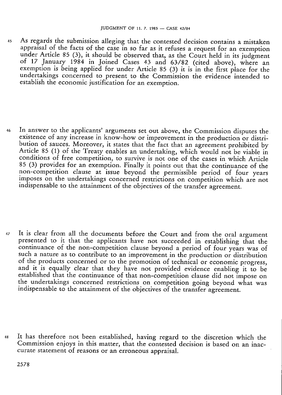- 45 As regards the submission alleging that the contested decision contains a mistaken appraisal of the facts of the case in so far as it refuses a request for an exemption under Article 85 (3), it should be observed that, as the Court held in its judgment of 17 January 1984 in Joined Cases 43 and 63/82 (cited above), where an exemption is being applied for under Article 85 (3) it is in the first place for the undertakings concerned to present to the Commission the evidence intended to establish the economic justification for an exemption.
- <sup>46</sup> In answer to the applicants' arguments set out above, the Commission disputes the existence of any increase in know-how or improvement in the production or distribution of sauces. Moreover, it states that the fact that an agreement prohibited by Article 85 (1) of the Treaty enables an undertaking, which would not be viable in conditions of free competition, to survive is not one of the cases in which Article <sup>85</sup> (3) provides for an exemption. Finally it points out that the continuance of the non-competition clause at issue beyond the permissible period of four years imposes on the undertakings concerned restrictions on competition which are not indispensable to the attainment of the objectives of the transfer agreement.

- <sup>47</sup> It is clear from all the documents before the Court and from the oral argument presented to it that the applicants have not succeeded in establishing that the continuance of the non-competition clause beyond a period of four years was of such a nature as to contribute to an improvement in the production or distribution of the products concerned or to the promotion of technical or economic progress, and it is equally clear that they have not provided evidence enabling it to be established that the continuance of that non-competition clause did not impose on the undertakings concerned restrictions on competition going beyond what was indispensable to the attainment of the objectives of the transfer agreement.
- <sup>48</sup> It has therefore not been established, having regard to the discretion which the Commission enjoys in this matter, that the contested decision is based on an inaccurate statement of reasons or an erroneous appraisal.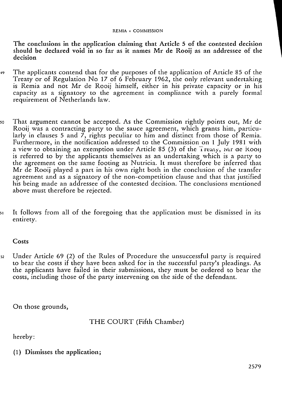The conclusions in the application claiming that Article 5 of the contested decision should be declared void in so far as it names Mr de Rooij as an addressee of the decision

- 49 The applicants contend that for the purposes of the application of Article 85 of the Treaty or of Regulation No 17 of 6 February 1962, the only relevant undertaking is Remia and not Mr de Rooij himself, either in his private capacity or in his capacity as a signatory to the agreement in compliance with a purely formal requirement of Netherlands law.
- <sup>50</sup> That argument cannot be accepted. As the Commission rightly points out, Mr de Rooij was a contracting party to the sauce agreement, which grants him, particularly in clauses 5 and 7, rights peculiar to him and distinct from those of Remia. Furthermore, in the notification addressed to the Commission on 1 July 1981 with a view to obtaining an exemption under Article 85 (3) of the  $T$ reaty, Mr ae koon is referred to by the applicants themselves as an undertaking which is a party to the agreement on the same footing as Nutricia. It must therefore be inferred that Mr de Rooij played a part in his own right both in the conclusion of the transfer agreement and as a signatory of the non-competition clause and that that justified his being made an addressee of the contested decision. The conclusions mentioned above must therefore be rejected.
- <sup>51</sup> It follows from all of the foregoing that the application must be dismissed in its entirety.

## **Costs**

<sup>52</sup> Under Article 69 (2) of the Rules of Procedure the unsuccessful party is required to bear the costs if they have been asked for in the successful party's pleadings. As the applicants have failed in their submissions, they must be ordered to bear the costs, including those of the party intervening on the side of the defendant.

On those grounds,

# THE COURT (Fifth Chamber)

hereby:

(1) Dismisses the application;